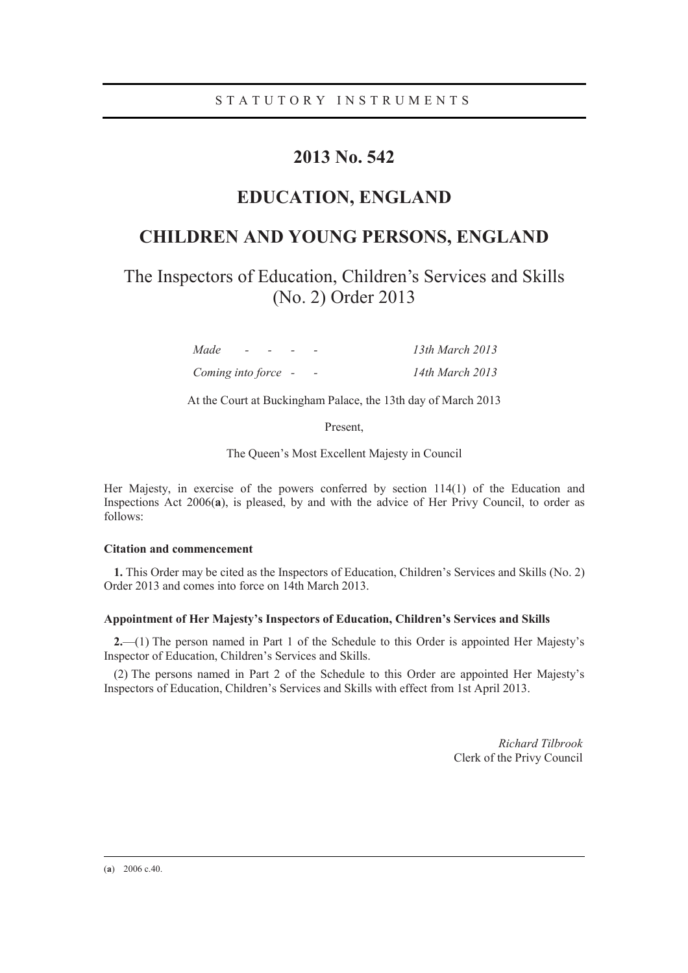## **2013 No. 542**

## **EDUCATION, ENGLAND**

# **CHILDREN AND YOUNG PERSONS, ENGLAND**

The Inspectors of Education, Children's Services and Skills (No. 2) Order 2013

| Made                | $\sim$<br>$\sim$ |  | 13th March 2013 |
|---------------------|------------------|--|-----------------|
| Coming into force - |                  |  | 14th March 2013 |

At the Court at Buckingham Palace, the 13th day of March 2013

Present,

The Queen's Most Excellent Majesty in Council

Her Majesty, in exercise of the powers conferred by section 114(1) of the Education and Inspections Act 2006(**a**), is pleased, by and with the advice of Her Privy Council, to order as follows:

#### **Citation and commencement**

**1.** This Order may be cited as the Inspectors of Education, Children's Services and Skills (No. 2) Order 2013 and comes into force on 14th March 2013.

#### **Appointment of Her Majesty's Inspectors of Education, Children's Services and Skills**

**2.**—(1) The person named in Part 1 of the Schedule to this Order is appointed Her Majesty's Inspector of Education, Children's Services and Skills.

(2) The persons named in Part 2 of the Schedule to this Order are appointed Her Majesty's Inspectors of Education, Children's Services and Skills with effect from 1st April 2013.

> *Richard Tilbrook*  Clerk of the Privy Council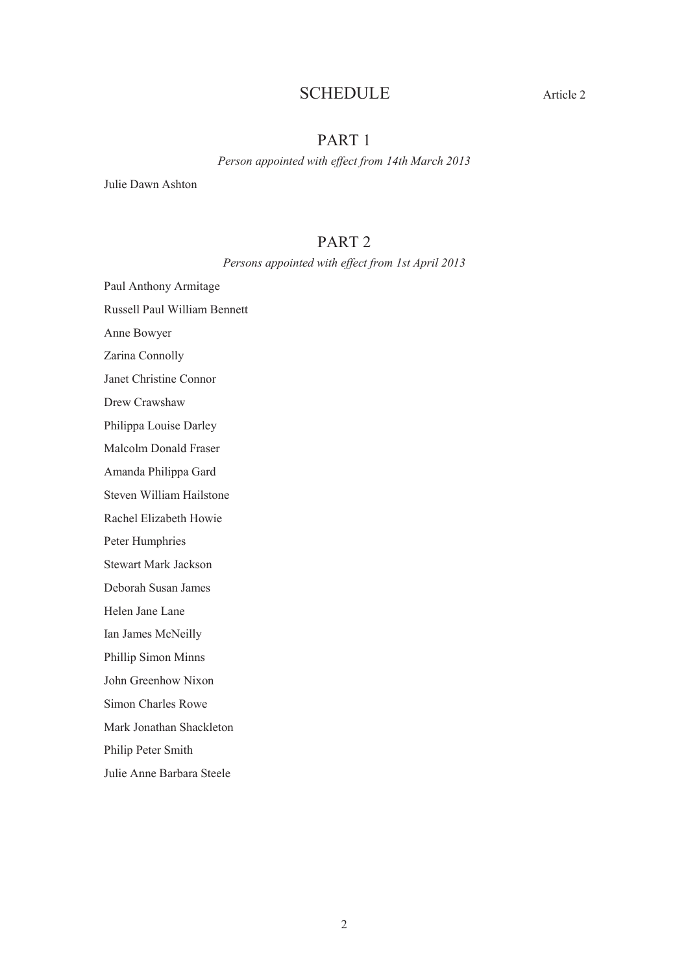## SCHEDULE Article 2

## PART 1

*Person appointed with effect from 14th March 2013* 

Julie Dawn Ashton

## PART 2

*Persons appointed with effect from 1st April 2013* 

Paul Anthony Armitage

Russell Paul William Bennett

Anne Bowyer

Zarina Connolly

Janet Christine Connor

Drew Crawshaw

Philippa Louise Darley

Malcolm Donald Fraser

Amanda Philippa Gard

Steven William Hailstone

Rachel Elizabeth Howie

Peter Humphries

Stewart Mark Jackson

Deborah Susan James

Helen Jane Lane

Ian James McNeilly

Phillip Simon Minns

John Greenhow Nixon

Simon Charles Rowe

Mark Jonathan Shackleton

Philip Peter Smith

Julie Anne Barbara Steele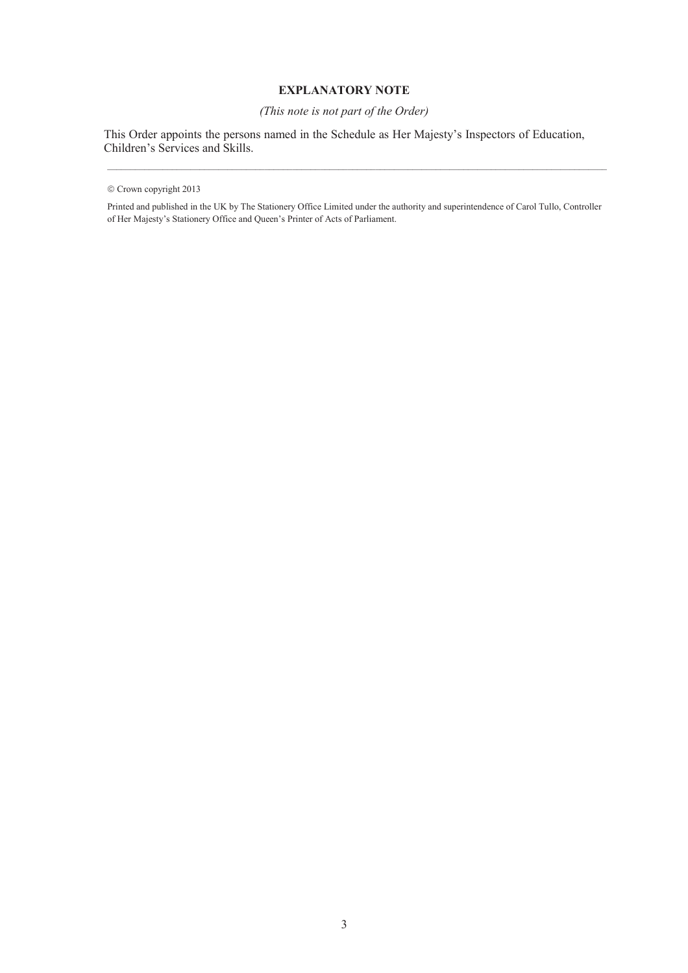### **EXPLANATORY NOTE**

### *(This note is not part of the Order)*

This Order appoints the persons named in the Schedule as Her Majesty's Inspectors of Education, Children's Services and Skills.

Printed and published in the UK by The Stationery Office Limited under the authority and superintendence of Carol Tullo, Controller of Her Majesty's Stationery Office and Queen's Printer of Acts of Parliament.

<sup>©</sup> Crown copyright 2013